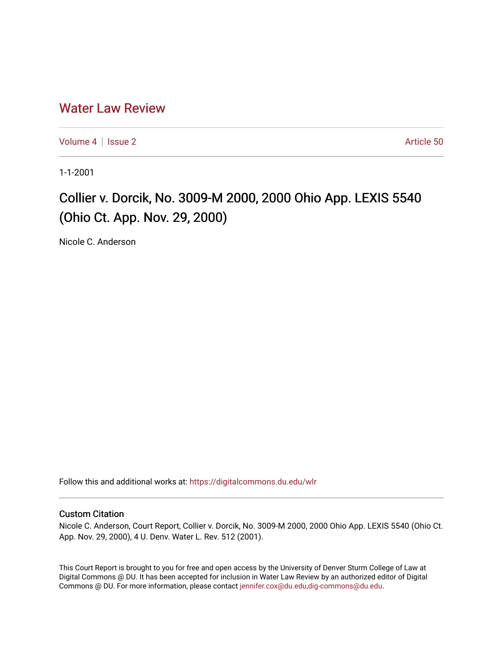## [Water Law Review](https://digitalcommons.du.edu/wlr)

[Volume 4](https://digitalcommons.du.edu/wlr/vol4) | [Issue 2](https://digitalcommons.du.edu/wlr/vol4/iss2) Article 50

1-1-2001

## Collier v. Dorcik, No. 3009-M 2000, 2000 Ohio App. LEXIS 5540 (Ohio Ct. App. Nov. 29, 2000)

Nicole C. Anderson

Follow this and additional works at: [https://digitalcommons.du.edu/wlr](https://digitalcommons.du.edu/wlr?utm_source=digitalcommons.du.edu%2Fwlr%2Fvol4%2Fiss2%2F50&utm_medium=PDF&utm_campaign=PDFCoverPages) 

## Custom Citation

Nicole C. Anderson, Court Report, Collier v. Dorcik, No. 3009-M 2000, 2000 Ohio App. LEXIS 5540 (Ohio Ct. App. Nov. 29, 2000), 4 U. Denv. Water L. Rev. 512 (2001).

This Court Report is brought to you for free and open access by the University of Denver Sturm College of Law at Digital Commons @ DU. It has been accepted for inclusion in Water Law Review by an authorized editor of Digital Commons @ DU. For more information, please contact [jennifer.cox@du.edu,dig-commons@du.edu.](mailto:jennifer.cox@du.edu,dig-commons@du.edu)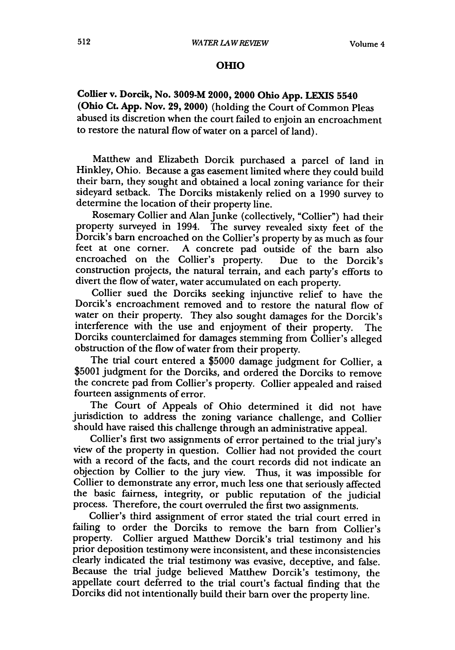## **OHIO**

**Coffier v. Dorcik, No. 3009-M 2000, 2000 Ohio App. LEXIS 5540 (Ohio Ct. App. Nov. 29, 2000)** (holding the Court of Common Pleas abused its discretion when the court failed to enjoin an encroachment to restore the natural flow of water on a parcel of land).

Matthew and Elizabeth Dorcik purchased a parcel of land in Hinkley, Ohio. Because a gas easement limited where they could build their barn, they sought and obtained a local zoning variance for their sideyard setback. The Dorciks mistakenly relied on a **1990** survey to determine the location of their property line.

Rosemary Collier and Alan Junke (collectively, "Collier") had their property surveyed in 1994. The survey revealed sixty feet of the Dorcik's barn encroached on the Collier's property **by** as much as four feet at one corner. A concrete pad outside of the barn also encroached on the Collier's property. Due to the Dorcik's construction projects, the natural terrain, and each party's efforts to divert the flow of water, water accumulated on each property.

Collier sued the Dorciks seeking injunctive relief to have the Dorcik's encroachment removed and to restore the natural flow of water on their property. They also sought damages for the Dorcik's interference with the use and enjoyment of their property. The Dorciks counterclaimed for damages stemming from Collier's alleged obstruction of the flow of water from their property.

The trial court entered a \$5000 damage judgment for Collier, a \$5001 judgment for the Dorciks, and ordered the Dorciks to remove the concrete pad from Collier's property. Collier appealed and raised fourteen assignments of error.

The Court of Appeals of Ohio determined it did not have jurisdiction to address the zoning variance challenge, and Collier should have raised this challenge through an administrative appeal.

Collier's first two assignments of error pertained to the trial jury's view of the property in question. Collier had not provided the court with a record of the facts, and the court records did not indicate an objection by Collier to the jury view. Thus, it was impossible for Collier to demonstrate any error, much less one that seriously affected the basic fairness, integrity, or public reputation of the judicial process. Therefore, the court overruled the first two assignments.

Collier's third assignment of error stated the trial court erred in failing to order the Dorciks to remove the barn from Collier's property. Collier argued Matthew Dorcik's trial testimony and his prior deposition testimony were inconsistent, and these inconsistencies clearly indicated the trial testimony was evasive, deceptive, and false. Because the trial judge believed Matthew Dorcik's testimony, the appellate court deferred to the trial court's factual finding that the Dorciks did not intentionally build their barn over the property line.